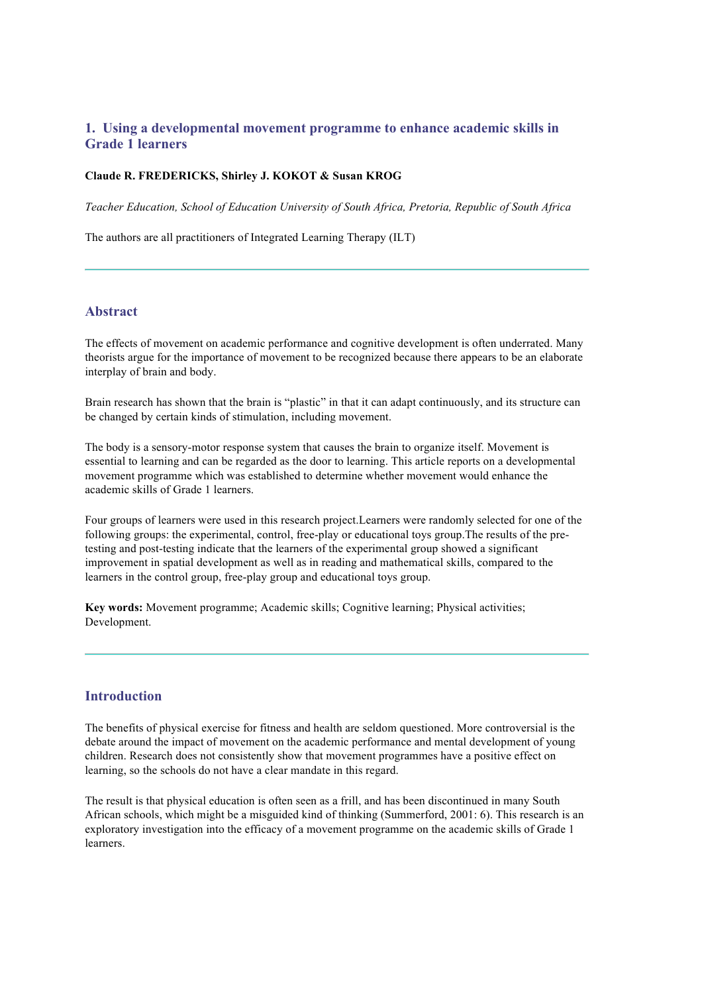# **1. Using a developmental movement programme to enhance academic skills in Grade 1 learners**

#### **Claude R. FREDERICKS, Shirley J. KOKOT & Susan KROG**

*Teacher Education, School of Education University of South Africa, Pretoria, Republic of South Africa*

The authors are all practitioners of Integrated Learning Therapy (ILT)

## **Abstract**

The effects of movement on academic performance and cognitive development is often underrated. Many theorists argue for the importance of movement to be recognized because there appears to be an elaborate interplay of brain and body.

Brain research has shown that the brain is "plastic" in that it can adapt continuously, and its structure can be changed by certain kinds of stimulation, including movement.

The body is a sensory-motor response system that causes the brain to organize itself. Movement is essential to learning and can be regarded as the door to learning. This article reports on a developmental movement programme which was established to determine whether movement would enhance the academic skills of Grade 1 learners.

Four groups of learners were used in this research project.Learners were randomly selected for one of the following groups: the experimental, control, free-play or educational toys group.The results of the pretesting and post-testing indicate that the learners of the experimental group showed a significant improvement in spatial development as well as in reading and mathematical skills, compared to the learners in the control group, free-play group and educational toys group.

**Key words:** Movement programme; Academic skills; Cognitive learning; Physical activities; Development.

## **Introduction**

The benefits of physical exercise for fitness and health are seldom questioned. More controversial is the debate around the impact of movement on the academic performance and mental development of young children. Research does not consistently show that movement programmes have a positive effect on learning, so the schools do not have a clear mandate in this regard.

The result is that physical education is often seen as a frill, and has been discontinued in many South African schools, which might be a misguided kind of thinking (Summerford, 2001: 6). This research is an exploratory investigation into the efficacy of a movement programme on the academic skills of Grade 1 learners.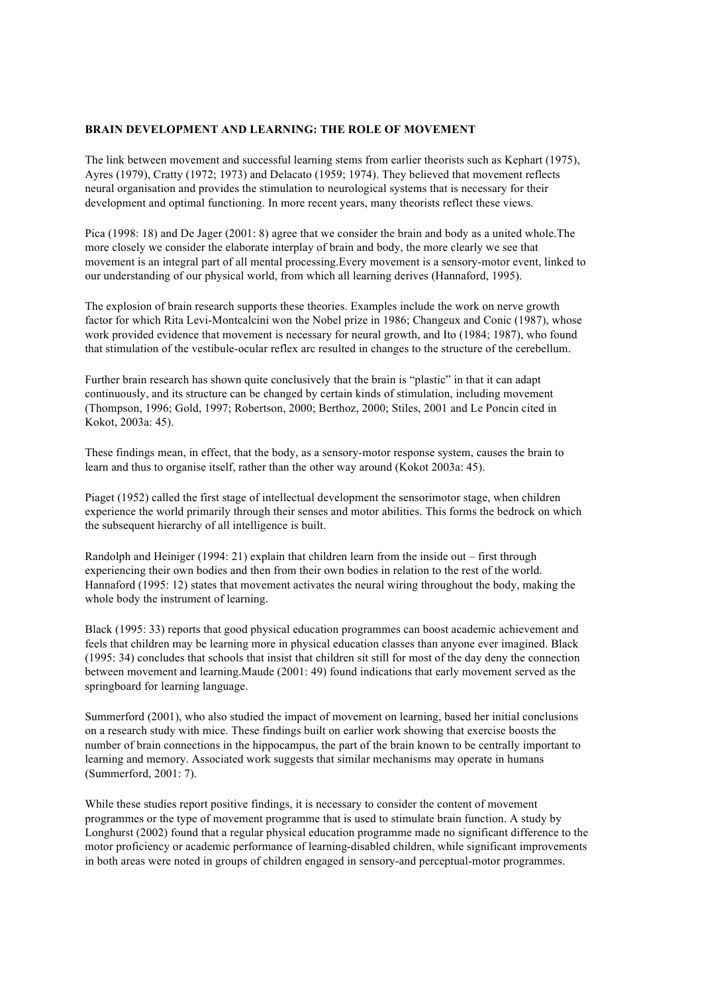#### **BRAIN DEVELOPMENT AND LEARNING: THE ROLE OF MOVEMENT**

The link between movement and successful learning stems from earlier theorists such as Kephart (1975), Ayres (1979), Cratty (1972; 1973) and Delacato (1959; 1974). They believed that movement reflects neural organisation and provides the stimulation to neurological systems that is necessary for their development and optimal functioning. In more recent years, many theorists reflect these views.

Pica (1998: 18) and De Jager (2001: 8) agree that we consider the brain and body as a united whole.The more closely we consider the elaborate interplay of brain and body, the more clearly we see that movement is an integral part of all mental processing.Every movement is a sensory-motor event, linked to our understanding of our physical world, from which all learning derives (Hannaford, 1995).

The explosion of brain research supports these theories. Examples include the work on nerve growth factor for which Rita Levi-Montcalcini won the Nobel prize in 1986; Changeux and Conic (1987), whose work provided evidence that movement is necessary for neural growth, and Ito (1984; 1987), who found that stimulation of the vestibule-ocular reflex arc resulted in changes to the structure of the cerebellum.

Further brain research has shown quite conclusively that the brain is "plastic" in that it can adapt continuously, and its structure can be changed by certain kinds of stimulation, including movement (Thompson, 1996; Gold, 1997; Robertson, 2000; Berthoz, 2000; Stiles, 2001 and Le Poncin cited in Kokot, 2003a: 45).

These findings mean, in effect, that the body, as a sensory-motor response system, causes the brain to learn and thus to organise itself, rather than the other way around (Kokot 2003a: 45).

Piaget (1952) called the first stage of intellectual development the sensorimotor stage, when children experience the world primarily through their senses and motor abilities. This forms the bedrock on which the subsequent hierarchy of all intelligence is built.

Randolph and Heiniger (1994: 21) explain that children learn from the inside out – first through experiencing their own bodies and then from their own bodies in relation to the rest of the world. Hannaford (1995: 12) states that movement activates the neural wiring throughout the body, making the whole body the instrument of learning.

Black (1995: 33) reports that good physical education programmes can boost academic achievement and feels that children may be learning more in physical education classes than anyone ever imagined. Black (1995: 34) concludes that schools that insist that children sit still for most of the day deny the connection between movement and learning.Maude (2001: 49) found indications that early movement served as the springboard for learning language.

Summerford (2001), who also studied the impact of movement on learning, based her initial conclusions on a research study with mice. These findings built on earlier work showing that exercise boosts the number of brain connections in the hippocampus, the part of the brain known to be centrally important to learning and memory. Associated work suggests that similar mechanisms may operate in humans (Summerford, 2001: 7).

While these studies report positive findings, it is necessary to consider the content of movement programmes or the type of movement programme that is used to stimulate brain function. A study by Longhurst (2002) found that a regular physical education programme made no significant difference to the motor proficiency or academic performance of learning-disabled children, while significant improvements in both areas were noted in groups of children engaged in sensory-and perceptual-motor programmes.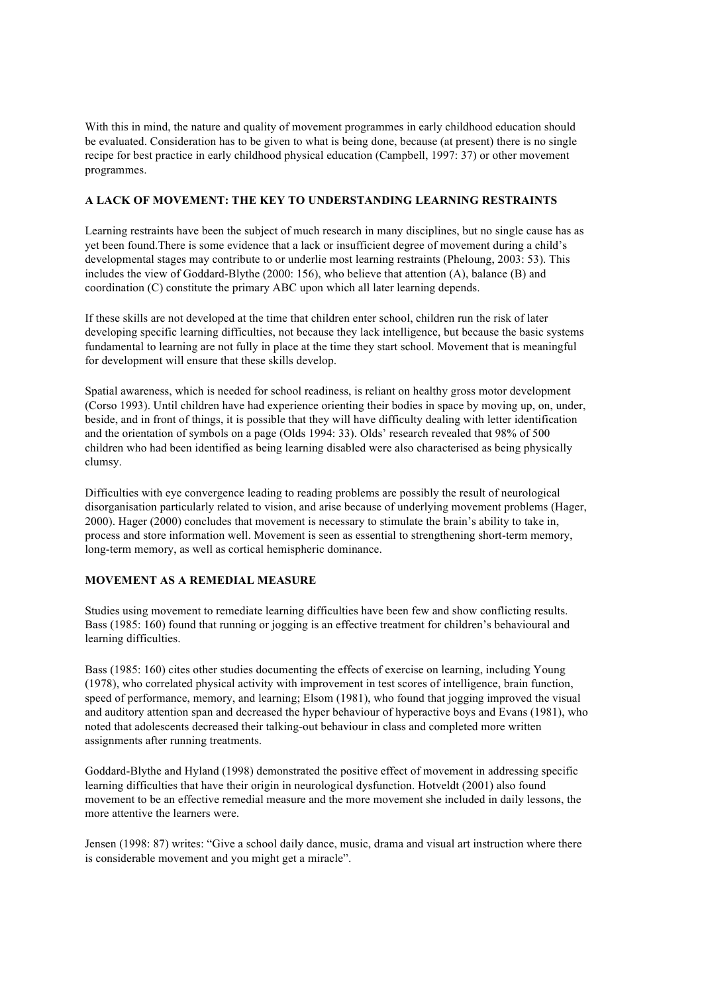With this in mind, the nature and quality of movement programmes in early childhood education should be evaluated. Consideration has to be given to what is being done, because (at present) there is no single recipe for best practice in early childhood physical education (Campbell, 1997: 37) or other movement programmes.

### **A LACK OF MOVEMENT: THE KEY TO UNDERSTANDING LEARNING RESTRAINTS**

Learning restraints have been the subject of much research in many disciplines, but no single cause has as yet been found.There is some evidence that a lack or insufficient degree of movement during a child's developmental stages may contribute to or underlie most learning restraints (Pheloung, 2003: 53). This includes the view of Goddard-Blythe (2000: 156), who believe that attention (A), balance (B) and coordination (C) constitute the primary ABC upon which all later learning depends.

If these skills are not developed at the time that children enter school, children run the risk of later developing specific learning difficulties, not because they lack intelligence, but because the basic systems fundamental to learning are not fully in place at the time they start school. Movement that is meaningful for development will ensure that these skills develop.

Spatial awareness, which is needed for school readiness, is reliant on healthy gross motor development (Corso 1993). Until children have had experience orienting their bodies in space by moving up, on, under, beside, and in front of things, it is possible that they will have difficulty dealing with letter identification and the orientation of symbols on a page (Olds 1994: 33). Olds' research revealed that 98% of 500 children who had been identified as being learning disabled were also characterised as being physically clumsy.

Difficulties with eye convergence leading to reading problems are possibly the result of neurological disorganisation particularly related to vision, and arise because of underlying movement problems (Hager, 2000). Hager (2000) concludes that movement is necessary to stimulate the brain's ability to take in, process and store information well. Movement is seen as essential to strengthening short-term memory, long-term memory, as well as cortical hemispheric dominance.

#### **MOVEMENT AS A REMEDIAL MEASURE**

Studies using movement to remediate learning difficulties have been few and show conflicting results. Bass (1985: 160) found that running or jogging is an effective treatment for children's behavioural and learning difficulties.

Bass (1985: 160) cites other studies documenting the effects of exercise on learning, including Young (1978), who correlated physical activity with improvement in test scores of intelligence, brain function, speed of performance, memory, and learning; Elsom (1981), who found that jogging improved the visual and auditory attention span and decreased the hyper behaviour of hyperactive boys and Evans (1981), who noted that adolescents decreased their talking-out behaviour in class and completed more written assignments after running treatments.

Goddard-Blythe and Hyland (1998) demonstrated the positive effect of movement in addressing specific learning difficulties that have their origin in neurological dysfunction. Hotveldt (2001) also found movement to be an effective remedial measure and the more movement she included in daily lessons, the more attentive the learners were.

Jensen (1998: 87) writes: "Give a school daily dance, music, drama and visual art instruction where there is considerable movement and you might get a miracle".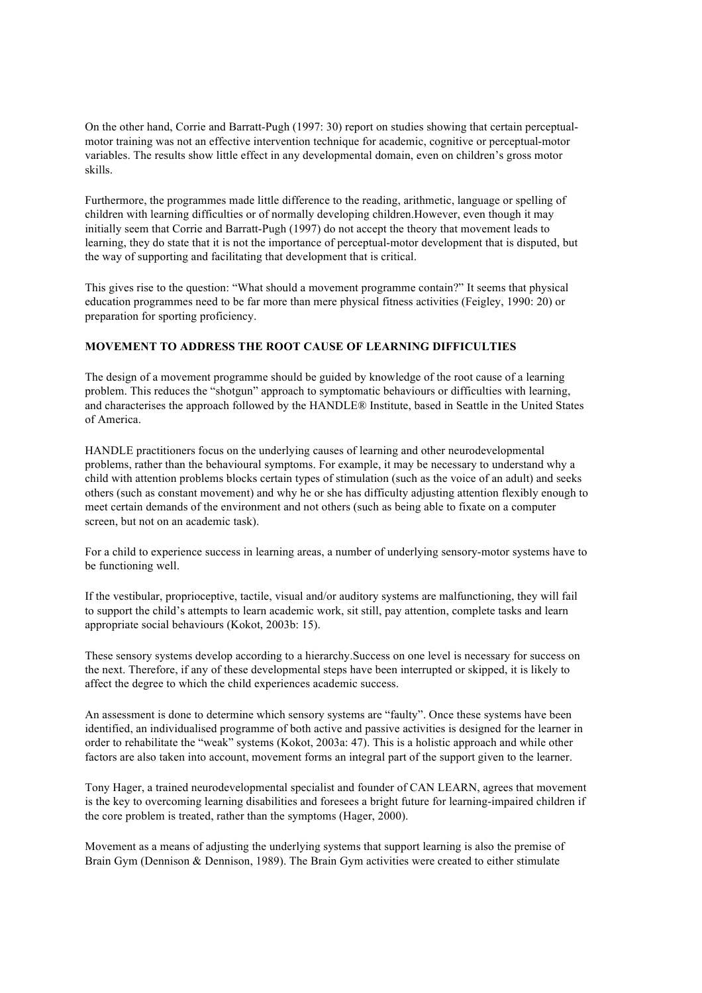On the other hand, Corrie and Barratt-Pugh (1997: 30) report on studies showing that certain perceptualmotor training was not an effective intervention technique for academic, cognitive or perceptual-motor variables. The results show little effect in any developmental domain, even on children's gross motor skills.

Furthermore, the programmes made little difference to the reading, arithmetic, language or spelling of children with learning difficulties or of normally developing children.However, even though it may initially seem that Corrie and Barratt-Pugh (1997) do not accept the theory that movement leads to learning, they do state that it is not the importance of perceptual-motor development that is disputed, but the way of supporting and facilitating that development that is critical.

This gives rise to the question: "What should a movement programme contain?" It seems that physical education programmes need to be far more than mere physical fitness activities (Feigley, 1990: 20) or preparation for sporting proficiency.

## **MOVEMENT TO ADDRESS THE ROOT CAUSE OF LEARNING DIFFICULTIES**

The design of a movement programme should be guided by knowledge of the root cause of a learning problem. This reduces the "shotgun" approach to symptomatic behaviours or difficulties with learning, and characterises the approach followed by the HANDLE® Institute, based in Seattle in the United States of America.

HANDLE practitioners focus on the underlying causes of learning and other neurodevelopmental problems, rather than the behavioural symptoms. For example, it may be necessary to understand why a child with attention problems blocks certain types of stimulation (such as the voice of an adult) and seeks others (such as constant movement) and why he or she has difficulty adjusting attention flexibly enough to meet certain demands of the environment and not others (such as being able to fixate on a computer screen, but not on an academic task).

For a child to experience success in learning areas, a number of underlying sensory-motor systems have to be functioning well.

If the vestibular, proprioceptive, tactile, visual and/or auditory systems are malfunctioning, they will fail to support the child's attempts to learn academic work, sit still, pay attention, complete tasks and learn appropriate social behaviours (Kokot, 2003b: 15).

These sensory systems develop according to a hierarchy.Success on one level is necessary for success on the next. Therefore, if any of these developmental steps have been interrupted or skipped, it is likely to affect the degree to which the child experiences academic success.

An assessment is done to determine which sensory systems are "faulty". Once these systems have been identified, an individualised programme of both active and passive activities is designed for the learner in order to rehabilitate the "weak" systems (Kokot, 2003a: 47). This is a holistic approach and while other factors are also taken into account, movement forms an integral part of the support given to the learner.

Tony Hager, a trained neurodevelopmental specialist and founder of CAN LEARN, agrees that movement is the key to overcoming learning disabilities and foresees a bright future for learning-impaired children if the core problem is treated, rather than the symptoms (Hager, 2000).

Movement as a means of adjusting the underlying systems that support learning is also the premise of Brain Gym (Dennison & Dennison, 1989). The Brain Gym activities were created to either stimulate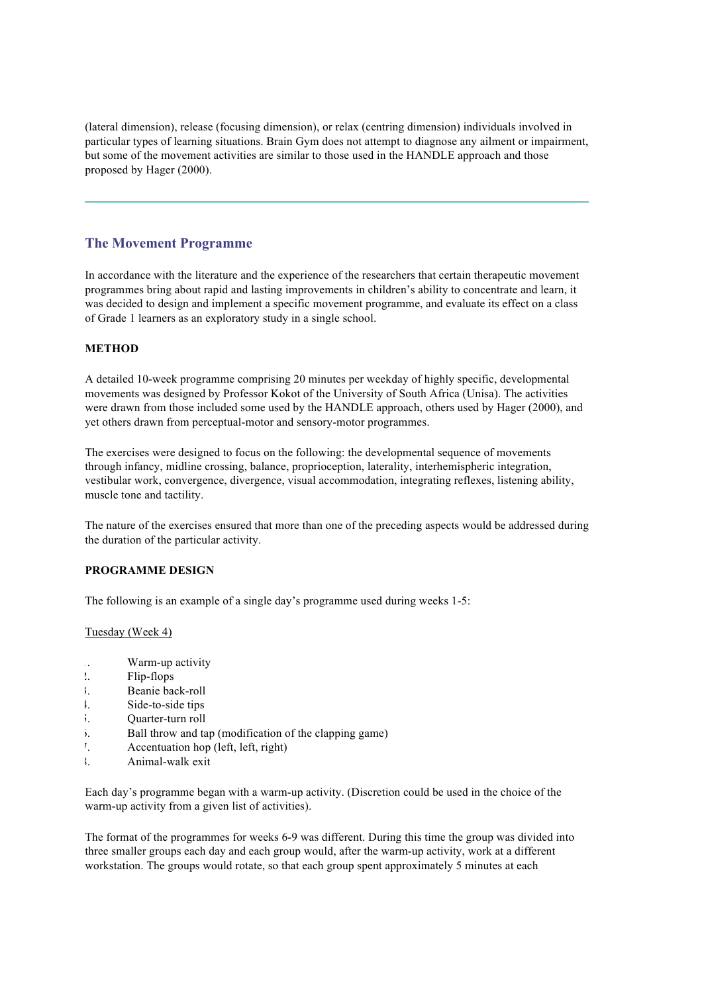(lateral dimension), release (focusing dimension), or relax (centring dimension) individuals involved in particular types of learning situations. Brain Gym does not attempt to diagnose any ailment or impairment, but some of the movement activities are similar to those used in the HANDLE approach and those proposed by Hager (2000).

## **The Movement Programme**

In accordance with the literature and the experience of the researchers that certain therapeutic movement programmes bring about rapid and lasting improvements in children's ability to concentrate and learn, it was decided to design and implement a specific movement programme, and evaluate its effect on a class of Grade 1 learners as an exploratory study in a single school.

#### **METHOD**

A detailed 10-week programme comprising 20 minutes per weekday of highly specific, developmental movements was designed by Professor Kokot of the University of South Africa (Unisa). The activities were drawn from those included some used by the HANDLE approach, others used by Hager (2000), and yet others drawn from perceptual-motor and sensory-motor programmes.

The exercises were designed to focus on the following: the developmental sequence of movements through infancy, midline crossing, balance, proprioception, laterality, interhemispheric integration, vestibular work, convergence, divergence, visual accommodation, integrating reflexes, listening ability, muscle tone and tactility.

The nature of the exercises ensured that more than one of the preceding aspects would be addressed during the duration of the particular activity.

#### **PROGRAMME DESIGN**

The following is an example of a single day's programme used during weeks 1-5:

#### Tuesday (Week 4)

- 1. Warm-up activity
- 2. Flip-flops
- 3. Beanie back-roll
- 4. Side-to-side tips
- 5. Ouarter-turn roll
- 6. Ball throw and tap (modification of the clapping game)
- 7. Accentuation hop (left, left, right)
- 8. Animal-walk exit

Each day's programme began with a warm-up activity. (Discretion could be used in the choice of the warm-up activity from a given list of activities).

The format of the programmes for weeks 6-9 was different. During this time the group was divided into three smaller groups each day and each group would, after the warm-up activity, work at a different workstation. The groups would rotate, so that each group spent approximately 5 minutes at each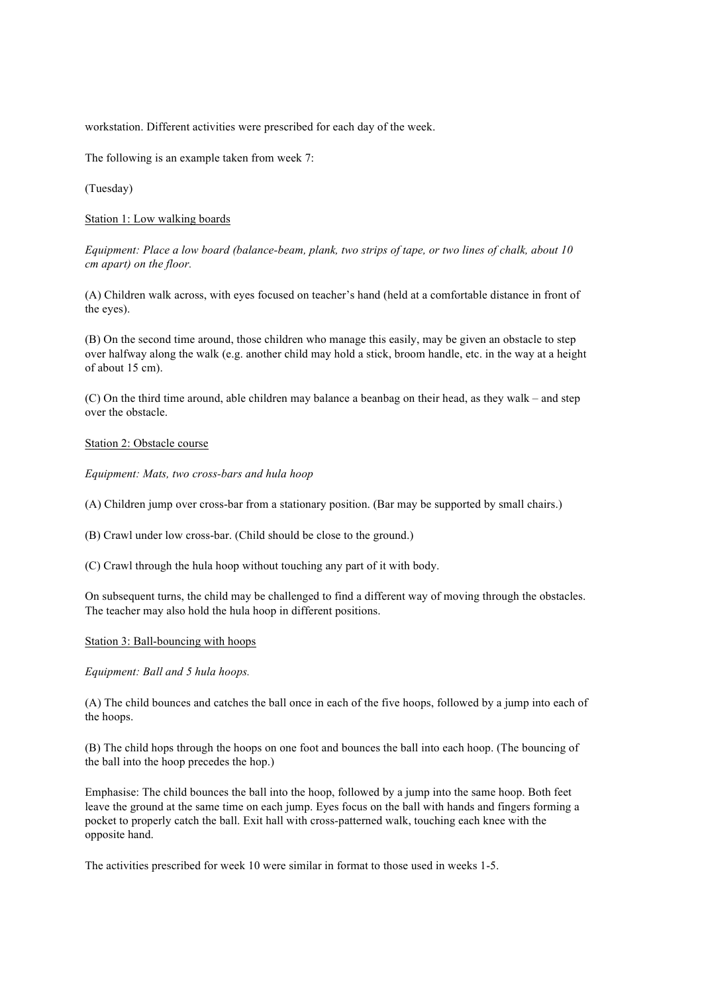workstation. Different activities were prescribed for each day of the week.

The following is an example taken from week 7:

(Tuesday)

Station 1: Low walking boards

*Equipment: Place a low board (balance-beam, plank, two strips of tape, or two lines of chalk, about 10 cm apart) on the floor.*

(A) Children walk across, with eyes focused on teacher's hand (held at a comfortable distance in front of the eyes).

(B) On the second time around, those children who manage this easily, may be given an obstacle to step over halfway along the walk (e.g. another child may hold a stick, broom handle, etc. in the way at a height of about 15 cm).

(C) On the third time around, able children may balance a beanbag on their head, as they walk – and step over the obstacle.

#### Station 2: Obstacle course

*Equipment: Mats, two cross-bars and hula hoop*

(A) Children jump over cross-bar from a stationary position. (Bar may be supported by small chairs.)

(B) Crawl under low cross-bar. (Child should be close to the ground.)

(C) Crawl through the hula hoop without touching any part of it with body.

On subsequent turns, the child may be challenged to find a different way of moving through the obstacles. The teacher may also hold the hula hoop in different positions.

#### Station 3: Ball-bouncing with hoops

*Equipment: Ball and 5 hula hoops.*

(A) The child bounces and catches the ball once in each of the five hoops, followed by a jump into each of the hoops.

(B) The child hops through the hoops on one foot and bounces the ball into each hoop. (The bouncing of the ball into the hoop precedes the hop.)

Emphasise: The child bounces the ball into the hoop, followed by a jump into the same hoop. Both feet leave the ground at the same time on each jump. Eyes focus on the ball with hands and fingers forming a pocket to properly catch the ball. Exit hall with cross-patterned walk, touching each knee with the opposite hand.

The activities prescribed for week 10 were similar in format to those used in weeks 1-5.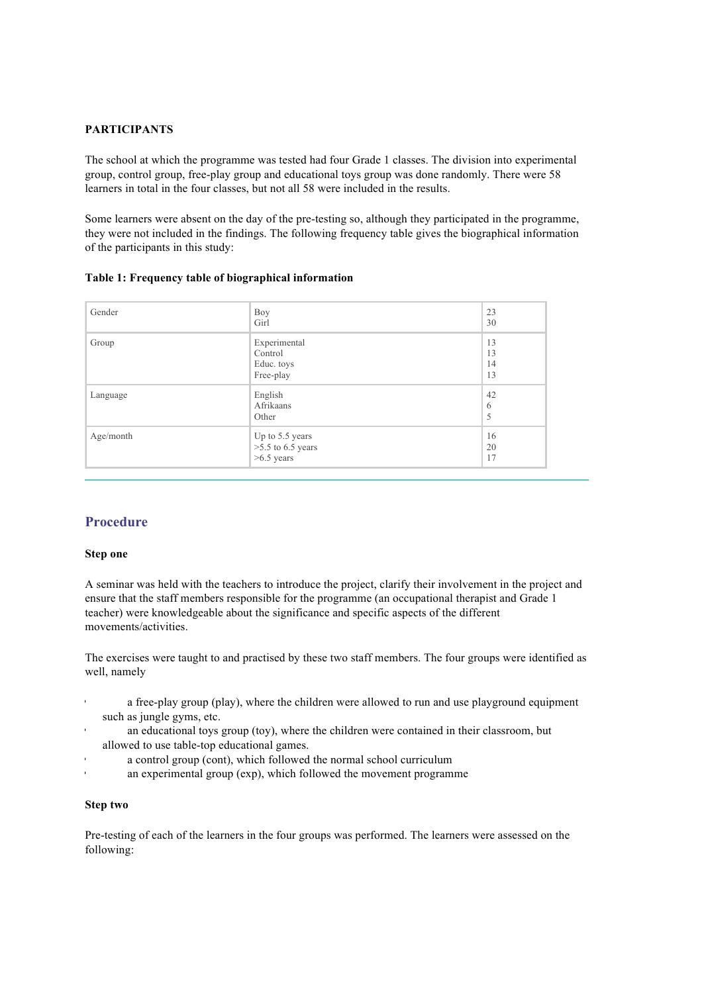#### **PARTICIPANTS**

The school at which the programme was tested had four Grade 1 classes. The division into experimental group, control group, free-play group and educational toys group was done randomly. There were 58 learners in total in the four classes, but not all 58 were included in the results.

Some learners were absent on the day of the pre-testing so, although they participated in the programme, they were not included in the findings. The following frequency table gives the biographical information of the participants in this study:

|  |  |  |  | Table 1: Frequency table of biographical information |
|--|--|--|--|------------------------------------------------------|
|--|--|--|--|------------------------------------------------------|

| Gender    | Boy<br>Girl                                            | 23<br>30             |
|-----------|--------------------------------------------------------|----------------------|
| Group     | Experimental<br>Control<br>Educ. toys<br>Free-play     | 13<br>13<br>14<br>13 |
| Language  | English<br>Afrikaans<br>Other                          | 42<br>6<br>5         |
| Age/month | Up to 5.5 years<br>$>5.5$ to 6.5 years<br>$>6.5$ years | 16<br>20<br>17       |

## **Procedure**

#### **Step one**

A seminar was held with the teachers to introduce the project, clarify their involvement in the project and ensure that the staff members responsible for the programme (an occupational therapist and Grade 1 teacher) were knowledgeable about the significance and specific aspects of the different movements/activities.

The exercises were taught to and practised by these two staff members. The four groups were identified as well, namely

- a free-play group (play), where the children were allowed to run and use playground equipment such as jungle gyms, etc.
- an educational toys group (toy), where the children were contained in their classroom, but allowed to use table-top educational games.
- a control group (cont), which followed the normal school curriculum
- an experimental group (exp), which followed the movement programme

### **Step two**

Pre-testing of each of the learners in the four groups was performed. The learners were assessed on the following: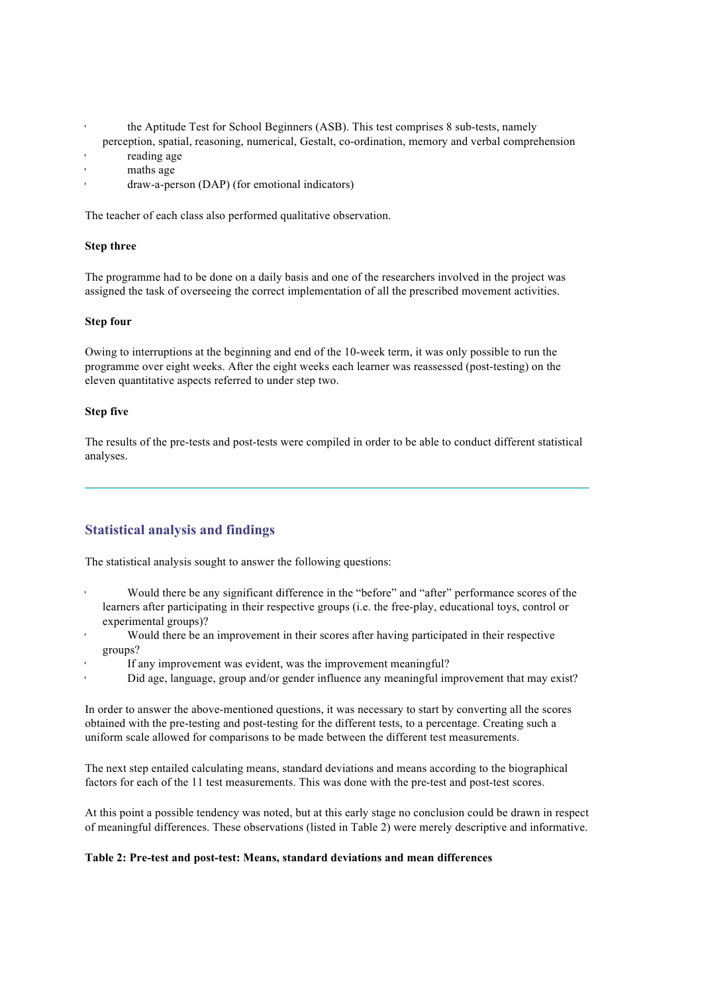- the Aptitude Test for School Beginners (ASB). This test comprises 8 sub-tests, namely
- perception, spatial, reasoning, numerical, Gestalt, co-ordination, memory and verbal comprehension reading age
- maths age
	- draw-a-person (DAP) (for emotional indicators)

The teacher of each class also performed qualitative observation.

### **Step three**

The programme had to be done on a daily basis and one of the researchers involved in the project was assigned the task of overseeing the correct implementation of all the prescribed movement activities.

#### **Step four**

Owing to interruptions at the beginning and end of the 10-week term, it was only possible to run the programme over eight weeks. After the eight weeks each learner was reassessed (post-testing) on the eleven quantitative aspects referred to under step two.

#### **Step five**

The results of the pre-tests and post-tests were compiled in order to be able to conduct different statistical analyses.

# **Statistical analysis and findings**

The statistical analysis sought to answer the following questions:

- Would there be any significant difference in the "before" and "after" performance scores of the learners after participating in their respective groups (i.e. the free-play, educational toys, control or experimental groups)?
- Would there be an improvement in their scores after having participated in their respective groups?
- If any improvement was evident, was the improvement meaningful?
- Did age, language, group and/or gender influence any meaningful improvement that may exist?

In order to answer the above-mentioned questions, it was necessary to start by converting all the scores obtained with the pre-testing and post-testing for the different tests, to a percentage. Creating such a uniform scale allowed for comparisons to be made between the different test measurements.

The next step entailed calculating means, standard deviations and means according to the biographical factors for each of the 11 test measurements. This was done with the pre-test and post-test scores.

At this point a possible tendency was noted, but at this early stage no conclusion could be drawn in respect of meaningful differences. These observations (listed in Table 2) were merely descriptive and informative.

#### **Table 2: Pre-test and post-test: Means, standard deviations and mean differences**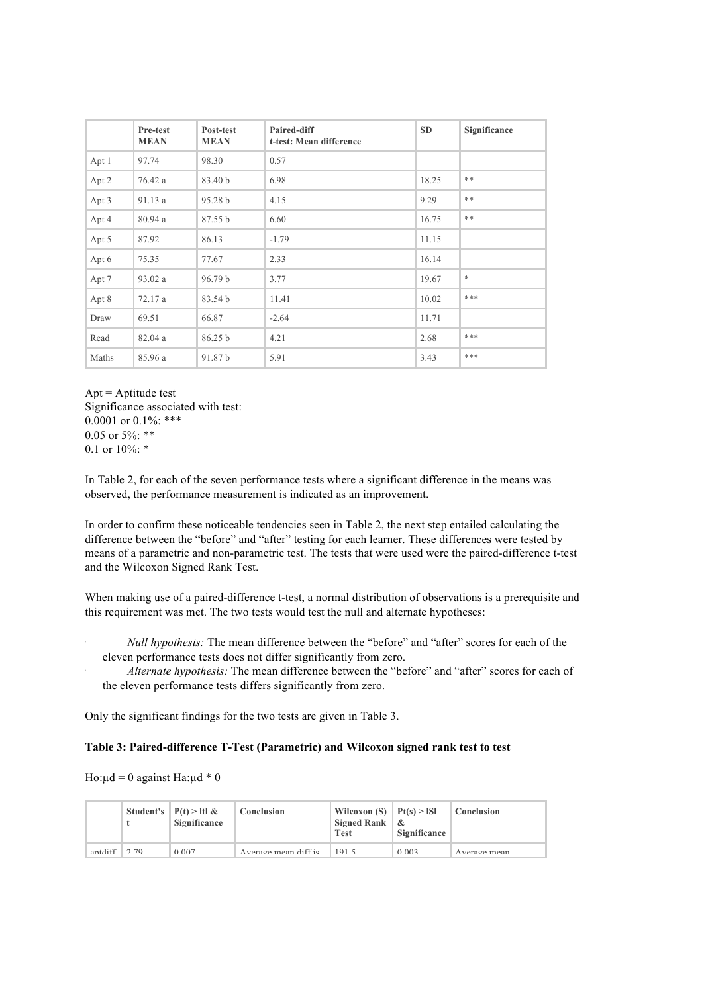|       | Pre-test<br><b>MEAN</b> | Post-test<br><b>MEAN</b> | Paired-diff<br>t-test: Mean difference | <b>SD</b> | Significance |
|-------|-------------------------|--------------------------|----------------------------------------|-----------|--------------|
| Apt 1 | 97.74                   | 98.30                    | 0.57                                   |           |              |
| Apt 2 | 76.42 a                 | 83.40 b                  | 6.98                                   | 18.25     | **           |
| Apt 3 | 91.13a                  | 95.28 b                  | 4.15                                   | 9.29      | **           |
| Apt 4 | 80.94a                  | 87.55 b                  | 6.60                                   | 16.75     | **           |
| Apt 5 | 87.92                   | 86.13                    | $-1.79$                                | 11.15     |              |
| Apt 6 | 75.35                   | 77.67                    | 2.33                                   | 16.14     |              |
| Apt 7 | 93.02 a                 | 96.79 b                  | 3.77                                   | 19.67     | $\ast$       |
| Apt 8 | 72.17 a                 | 83.54 b                  | 11.41                                  | 10.02     | ***          |
| Draw  | 69.51                   | 66.87                    | $-2.64$                                | 11.71     |              |
| Read  | 82.04a                  | 86.25 b                  | 4.21                                   | 2.68      | ***          |
| Maths | 85.96 a                 | 91.87 b                  | 5.91                                   | 3.43      | ***          |

Apt = Aptitude test Significance associated with test: 0.0001 or  $0.1\%$ : \*\*\* 0.05 or  $5\%$  \*\* 0.1 or  $10\%$ :  $*$ 

In Table 2, for each of the seven performance tests where a significant difference in the means was observed, the performance measurement is indicated as an improvement.

In order to confirm these noticeable tendencies seen in Table 2, the next step entailed calculating the difference between the "before" and "after" testing for each learner. These differences were tested by means of a parametric and non-parametric test. The tests that were used were the paired-difference t-test and the Wilcoxon Signed Rank Test.

When making use of a paired-difference t-test, a normal distribution of observations is a prerequisite and this requirement was met. The two tests would test the null and alternate hypotheses:

- *Null hypothesis:* The mean difference between the "before" and "after" scores for each of the eleven performance tests does not differ significantly from zero.
- *Alternate hypothesis:* The mean difference between the "before" and "after" scores for each of the eleven performance tests differs significantly from zero.

Only the significant findings for the two tests are given in Table 3.

#### **Table 3: Paired-difference T-Test (Parametric) and Wilcoxon signed rank test to test**

Ho: $\mu$ d = 0 against Ha: $\mu$ d \* 0

|         |     | Student's $\mid P(t) > \text{ltl} \&$<br>Significance | Conclusion           | Wilcoxon (S) $ Pt(s) >$ ISI<br>Signed Rank $\&$<br>Test | Significance | Conclusion             |
|---------|-----|-------------------------------------------------------|----------------------|---------------------------------------------------------|--------------|------------------------|
| antdiff | 270 | 0.007                                                 | Average mean diff is | 101 <sub>5</sub>                                        | 0.002        | $A$ <i>vorogo</i> moon |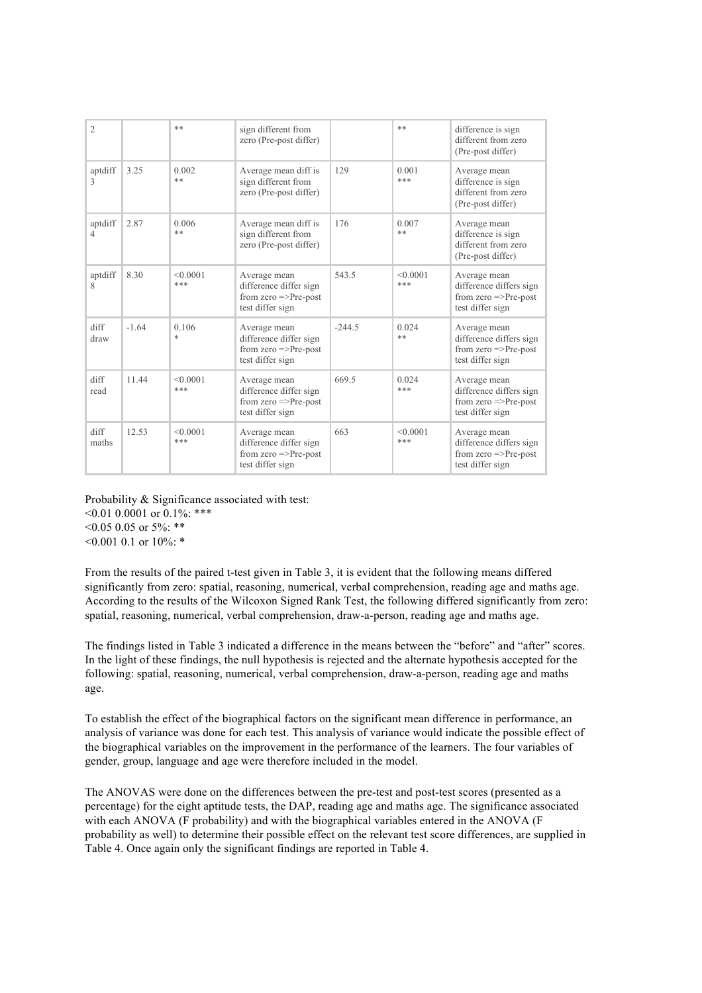| $\overline{2}$ |         | $**$            | sign different from<br>zero (Pre-post differ)                                                  |          | **              | difference is sign<br>different from zero<br>(Pre-post differ)                                  |
|----------------|---------|-----------------|------------------------------------------------------------------------------------------------|----------|-----------------|-------------------------------------------------------------------------------------------------|
| aptdiff<br>3   | 3.25    | 0.002<br>**     | Average mean diff is<br>sign different from<br>zero (Pre-post differ)                          | 129      | 0.001<br>***    | Average mean<br>difference is sign<br>different from zero<br>(Pre-post differ)                  |
| aptdiff<br>4   | 2.87    | 0.006<br>**     | Average mean diff is<br>sign different from<br>zero (Pre-post differ)                          | 176      | 0.007<br>**     | Average mean<br>difference is sign<br>different from zero<br>(Pre-post differ)                  |
| aptdiff<br>8   | 8.30    | < 0.0001<br>*** | Average mean<br>difference differ sign<br>from zero $\Rightarrow$ Pre-post<br>test differ sign | 543.5    | < 0.0001<br>*** | Average mean<br>difference differs sign<br>from zero $\Rightarrow$ Pre-post<br>test differ sign |
| diff<br>draw   | $-1.64$ | 0.106<br>$\ast$ | Average mean<br>difference differ sign<br>from zero $\Rightarrow$ Pre-post<br>test differ sign | $-244.5$ | 0.024<br>**     | Average mean<br>difference differs sign<br>from zero $\Rightarrow$ Pre-post<br>test differ sign |
| diff<br>read   | 11.44   | < 0.0001<br>*** | Average mean<br>difference differ sign<br>from zero $\Rightarrow$ Pre-post<br>test differ sign | 669.5    | 0.024<br>***    | Average mean<br>difference differs sign<br>from zero $\Rightarrow$ Pre-post<br>test differ sign |
| diff<br>maths  | 12.53   | < 0.0001<br>*** | Average mean<br>difference differ sign<br>from zero $\Rightarrow$ Pre-post<br>test differ sign | 663      | < 0.0001<br>*** | Average mean<br>difference differs sign<br>from zero $\Rightarrow$ Pre-post<br>test differ sign |

Probability & Significance associated with test:  $\leq 0.01$  0.0001 or 0.1%: \*\*\*

 $0.05$  0.05 or 5%: \*\*

 $0.001$  0.1 or 10%: \*

From the results of the paired t-test given in Table 3, it is evident that the following means differed significantly from zero: spatial, reasoning, numerical, verbal comprehension, reading age and maths age. According to the results of the Wilcoxon Signed Rank Test, the following differed significantly from zero: spatial, reasoning, numerical, verbal comprehension, draw-a-person, reading age and maths age.

The findings listed in Table 3 indicated a difference in the means between the "before" and "after" scores. In the light of these findings, the null hypothesis is rejected and the alternate hypothesis accepted for the following: spatial, reasoning, numerical, verbal comprehension, draw-a-person, reading age and maths age.

To establish the effect of the biographical factors on the significant mean difference in performance, an analysis of variance was done for each test. This analysis of variance would indicate the possible effect of the biographical variables on the improvement in the performance of the learners. The four variables of gender, group, language and age were therefore included in the model.

The ANOVAS were done on the differences between the pre-test and post-test scores (presented as a percentage) for the eight aptitude tests, the DAP, reading age and maths age. The significance associated with each ANOVA (F probability) and with the biographical variables entered in the ANOVA (F probability as well) to determine their possible effect on the relevant test score differences, are supplied in Table 4. Once again only the significant findings are reported in Table 4.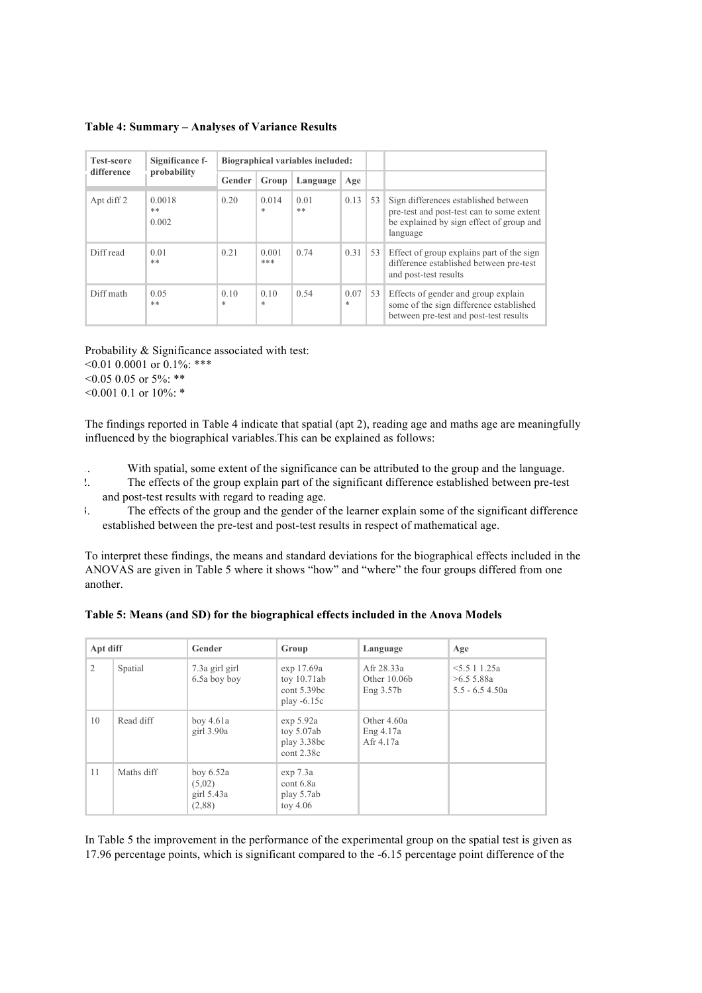**Table 4: Summary – Analyses of Variance Results**

| <b>Test-score</b><br>difference | Significance f-<br>probability | Biographical variables included: |                 |            |             |    |                                                                                                                                           |
|---------------------------------|--------------------------------|----------------------------------|-----------------|------------|-------------|----|-------------------------------------------------------------------------------------------------------------------------------------------|
|                                 |                                | Gender                           | Group           | Language   | Age         |    |                                                                                                                                           |
| Apt diff 2                      | 0.0018<br>$**$<br>0.002        | 0.20                             | 0.014<br>$\ast$ | 0.01<br>** | 0.13        | 53 | Sign differences established between<br>pre-test and post-test can to some extent<br>be explained by sign effect of group and<br>language |
| Diff read                       | 0.01<br>$***$                  | 0.21                             | 0.001<br>***    | 0.74       | 0.31        | 53 | Effect of group explains part of the sign<br>difference established between pre-test<br>and post-test results                             |
| Diff math                       | 0.05<br>$**$                   | 0.10<br>$\ast$                   | 0.10<br>$\ast$  | 0.54       | 0.07<br>$*$ | 53 | Effects of gender and group explain<br>some of the sign difference established<br>between pre-test and post-test results                  |

Probability & Significance associated with test:  $\leq 0.01$  0.0001 or 0.1%: \*\*\*  $0.05$  0.05 or 5%: \*\* <0.001 0.1 or 10%: \*

The findings reported in Table 4 indicate that spatial (apt 2), reading age and maths age are meaningfully influenced by the biographical variables.This can be explained as follows:

1. With spatial, some extent of the significance can be attributed to the group and the language.

- 2. The effects of the group explain part of the significant difference established between pre-test and post-test results with regard to reading age.
- 3. The effects of the group and the gender of the learner explain some of the significant difference established between the pre-test and post-test results in respect of mathematical age.

To interpret these findings, the means and standard deviations for the biographical effects included in the ANOVAS are given in Table 5 where it shows "how" and "where" the four groups differed from one another.

| Apt diff       |            | Gender                                          | Group<br>Language                                           |                                             | Age                                         |  |
|----------------|------------|-------------------------------------------------|-------------------------------------------------------------|---------------------------------------------|---------------------------------------------|--|
| $\overline{2}$ | Spatial    | 7.3a girl girl<br>6.5a boy boy                  | exp 17.69a<br>toy $10.71ab$<br>cont 5.39bc<br>play $-6.15c$ | Afr 28.33a<br>Other $10.06b$<br>Eng $3.57b$ | 5.511.25a<br>>6.55.88a<br>$5.5 - 6.5$ 4.50a |  |
| 10             | Read diff  | boy $4.61a$<br>girl $3.90a$                     | exp 5.92a<br>toy $5.07ab$<br>play 3.38bc<br>cont 2.38c      | Other 4.60a<br>Eng 4.17a<br>Afr 4.17a       |                                             |  |
| 11             | Maths diff | boy $6.52a$<br>(5,02)<br>girl $5.43a$<br>(2,88) | exp 7.3a<br>cont 6.8a<br>play 5.7ab<br>toy $4.06$           |                                             |                                             |  |

**Table 5: Means (and SD) for the biographical effects included in the Anova Models**

In Table 5 the improvement in the performance of the experimental group on the spatial test is given as 17.96 percentage points, which is significant compared to the -6.15 percentage point difference of the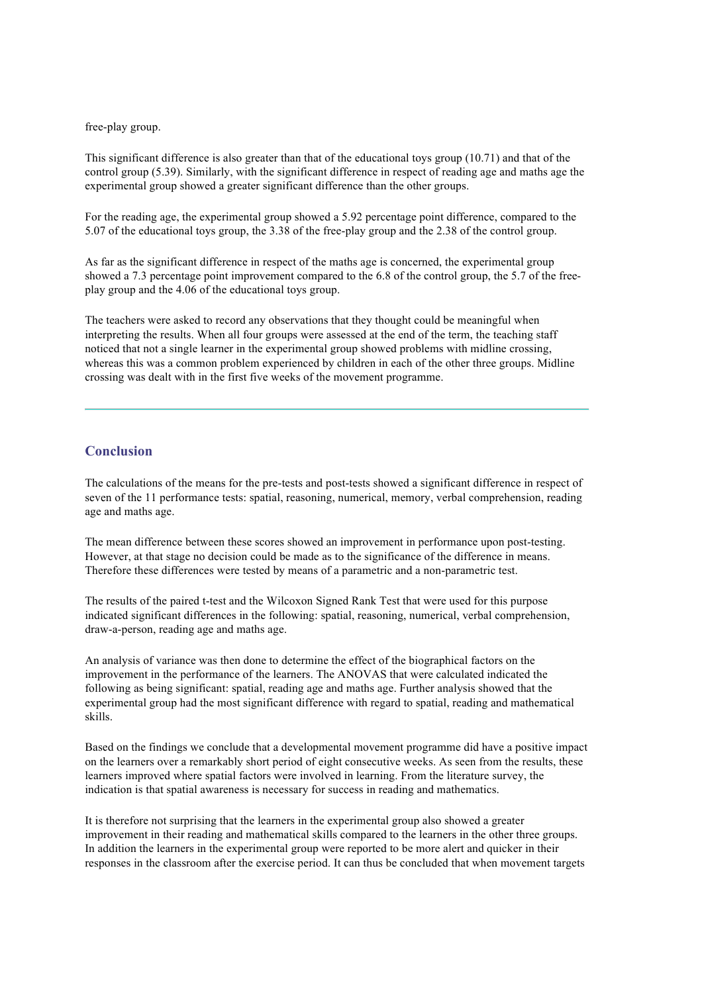#### free-play group.

This significant difference is also greater than that of the educational toys group (10.71) and that of the control group (5.39). Similarly, with the significant difference in respect of reading age and maths age the experimental group showed a greater significant difference than the other groups.

For the reading age, the experimental group showed a 5.92 percentage point difference, compared to the 5.07 of the educational toys group, the 3.38 of the free-play group and the 2.38 of the control group.

As far as the significant difference in respect of the maths age is concerned, the experimental group showed a 7.3 percentage point improvement compared to the 6.8 of the control group, the 5.7 of the freeplay group and the 4.06 of the educational toys group.

The teachers were asked to record any observations that they thought could be meaningful when interpreting the results. When all four groups were assessed at the end of the term, the teaching staff noticed that not a single learner in the experimental group showed problems with midline crossing, whereas this was a common problem experienced by children in each of the other three groups. Midline crossing was dealt with in the first five weeks of the movement programme.

### **Conclusion**

The calculations of the means for the pre-tests and post-tests showed a significant difference in respect of seven of the 11 performance tests: spatial, reasoning, numerical, memory, verbal comprehension, reading age and maths age.

The mean difference between these scores showed an improvement in performance upon post-testing. However, at that stage no decision could be made as to the significance of the difference in means. Therefore these differences were tested by means of a parametric and a non-parametric test.

The results of the paired t-test and the Wilcoxon Signed Rank Test that were used for this purpose indicated significant differences in the following: spatial, reasoning, numerical, verbal comprehension, draw-a-person, reading age and maths age.

An analysis of variance was then done to determine the effect of the biographical factors on the improvement in the performance of the learners. The ANOVAS that were calculated indicated the following as being significant: spatial, reading age and maths age. Further analysis showed that the experimental group had the most significant difference with regard to spatial, reading and mathematical skills.

Based on the findings we conclude that a developmental movement programme did have a positive impact on the learners over a remarkably short period of eight consecutive weeks. As seen from the results, these learners improved where spatial factors were involved in learning. From the literature survey, the indication is that spatial awareness is necessary for success in reading and mathematics.

It is therefore not surprising that the learners in the experimental group also showed a greater improvement in their reading and mathematical skills compared to the learners in the other three groups. In addition the learners in the experimental group were reported to be more alert and quicker in their responses in the classroom after the exercise period. It can thus be concluded that when movement targets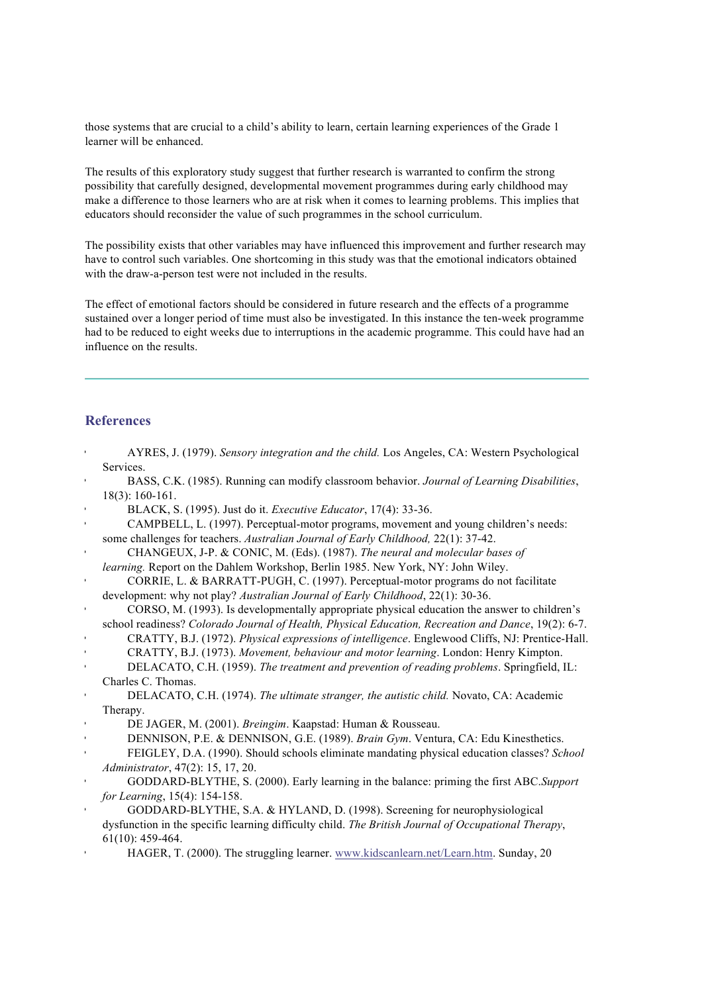those systems that are crucial to a child's ability to learn, certain learning experiences of the Grade 1 learner will be enhanced.

The results of this exploratory study suggest that further research is warranted to confirm the strong possibility that carefully designed, developmental movement programmes during early childhood may make a difference to those learners who are at risk when it comes to learning problems. This implies that educators should reconsider the value of such programmes in the school curriculum.

The possibility exists that other variables may have influenced this improvement and further research may have to control such variables. One shortcoming in this study was that the emotional indicators obtained with the draw-a-person test were not included in the results.

The effect of emotional factors should be considered in future research and the effects of a programme sustained over a longer period of time must also be investigated. In this instance the ten-week programme had to be reduced to eight weeks due to interruptions in the academic programme. This could have had an influence on the results.

# **References**

|                       | AYRES, J. (1979). Sensory integration and the child. Los Angeles, CA: Western Psychological         |
|-----------------------|-----------------------------------------------------------------------------------------------------|
|                       | Services.                                                                                           |
|                       | BASS, C.K. (1985). Running can modify classroom behavior. Journal of Learning Disabilities,         |
|                       | $18(3)$ : 160-161.                                                                                  |
| $\blacktriangleright$ | BLACK, S. (1995). Just do it. Executive Educator, 17(4): 33-36.                                     |
|                       | CAMPBELL, L. (1997). Perceptual-motor programs, movement and young children's needs:                |
|                       | some challenges for teachers. Australian Journal of Early Childhood, 22(1): 37-42.                  |
|                       | CHANGEUX, J-P. & CONIC, M. (Eds). (1987). The neural and molecular bases of                         |
|                       | learning. Report on the Dahlem Workshop, Berlin 1985. New York, NY: John Wiley.                     |
| $\bar{\mathbf{r}}$    | CORRIE, L. & BARRATT-PUGH, C. (1997). Perceptual-motor programs do not facilitate                   |
|                       | development: why not play? Australian Journal of Early Childhood, 22(1): 30-36.                     |
| $\blacktriangleright$ | CORSO, M. (1993). Is developmentally appropriate physical education the answer to children's        |
|                       | school readiness? Colorado Journal of Health, Physical Education, Recreation and Dance, 19(2): 6-7. |
| $\bar{1}$             | CRATTY, B.J. (1972). Physical expressions of intelligence. Englewood Cliffs, NJ: Prentice-Hall.     |
|                       | CRATTY, B.J. (1973). Movement, behaviour and motor learning. London: Henry Kimpton.                 |
|                       | DELACATO, C.H. (1959). The treatment and prevention of reading problems. Springfield, IL:           |
|                       | Charles C. Thomas.                                                                                  |
|                       | DELACATO, C.H. (1974). The ultimate stranger, the autistic child. Novato, CA: Academic              |
|                       | Therapy.                                                                                            |
| $\,$                  | DE JAGER, M. (2001). Breingim. Kaapstad: Human & Rousseau.                                          |
|                       | DENNISON, P.E. & DENNISON, G.E. (1989). Brain Gym. Ventura, CA: Edu Kinesthetics.                   |
|                       | FEIGLEY, D.A. (1990). Should schools eliminate mandating physical education classes? School         |
|                       | Administrator, 47(2): 15, 17, 20.                                                                   |
| $\blacktriangleright$ | GODDARD-BLYTHE, S. (2000). Early learning in the balance: priming the first ABC. Support            |
|                       | for Learning, 15(4): 154-158.                                                                       |
| $\pmb{\mathsf{I}}$    | GODDARD-BLYTHE, S.A. & HYLAND, D. (1998). Screening for neurophysiological                          |
|                       | dysfunction in the specific learning difficulty child. The British Journal of Occupational Therapy, |
|                       | $61(10): 459-464.$                                                                                  |
|                       | HAGER, T. (2000). The struggling learner. www.kidscanlearn.net/Learn.htm. Sunday, 20                |
|                       |                                                                                                     |